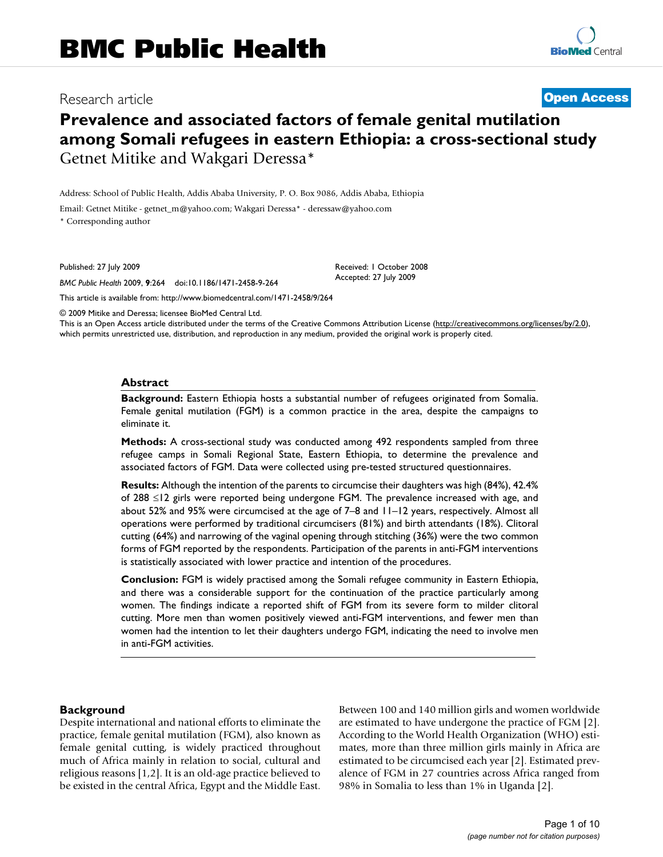# Research article **[Open Access](http://www.biomedcentral.com/info/about/charter/)**

# **Prevalence and associated factors of female genital mutilation among Somali refugees in eastern Ethiopia: a cross-sectional study** Getnet Mitike and Wakgari Deressa\*

Address: School of Public Health, Addis Ababa University, P. O. Box 9086, Addis Ababa, Ethiopia

Email: Getnet Mitike - getnet\_m@yahoo.com; Wakgari Deressa\* - deressaw@yahoo.com

\* Corresponding author

Published: 27 July 2009

*BMC Public Health* 2009, **9**:264 doi:10.1186/1471-2458-9-264

[This article is available from: http://www.biomedcentral.com/1471-2458/9/264](http://www.biomedcentral.com/1471-2458/9/264)

© 2009 Mitike and Deressa; licensee BioMed Central Ltd.

This is an Open Access article distributed under the terms of the Creative Commons Attribution License [\(http://creativecommons.org/licenses/by/2.0\)](http://creativecommons.org/licenses/by/2.0), which permits unrestricted use, distribution, and reproduction in any medium, provided the original work is properly cited.

Received: 1 October 2008 Accepted: 27 July 2009

#### **Abstract**

**Background:** Eastern Ethiopia hosts a substantial number of refugees originated from Somalia. Female genital mutilation (FGM) is a common practice in the area, despite the campaigns to eliminate it.

**Methods:** A cross-sectional study was conducted among 492 respondents sampled from three refugee camps in Somali Regional State, Eastern Ethiopia, to determine the prevalence and associated factors of FGM. Data were collected using pre-tested structured questionnaires.

**Results:** Although the intention of the parents to circumcise their daughters was high (84%), 42.4% of 288 ≤12 girls were reported being undergone FGM. The prevalence increased with age, and about 52% and 95% were circumcised at the age of 7–8 and 11–12 years, respectively. Almost all operations were performed by traditional circumcisers (81%) and birth attendants (18%). Clitoral cutting (64%) and narrowing of the vaginal opening through stitching (36%) were the two common forms of FGM reported by the respondents. Participation of the parents in anti-FGM interventions is statistically associated with lower practice and intention of the procedures.

**Conclusion:** FGM is widely practised among the Somali refugee community in Eastern Ethiopia, and there was a considerable support for the continuation of the practice particularly among women. The findings indicate a reported shift of FGM from its severe form to milder clitoral cutting. More men than women positively viewed anti-FGM interventions, and fewer men than women had the intention to let their daughters undergo FGM, indicating the need to involve men in anti-FGM activities.

#### **Background**

Despite international and national efforts to eliminate the practice, female genital mutilation (FGM), also known as female genital cutting, is widely practiced throughout much of Africa mainly in relation to social, cultural and religious reasons [1,2]. It is an old-age practice believed to be existed in the central Africa, Egypt and the Middle East. Between 100 and 140 million girls and women worldwide are estimated to have undergone the practice of FGM [2]. According to the World Health Organization (WHO) estimates, more than three million girls mainly in Africa are estimated to be circumcised each year [2]. Estimated prevalence of FGM in 27 countries across Africa ranged from 98% in Somalia to less than 1% in Uganda [2].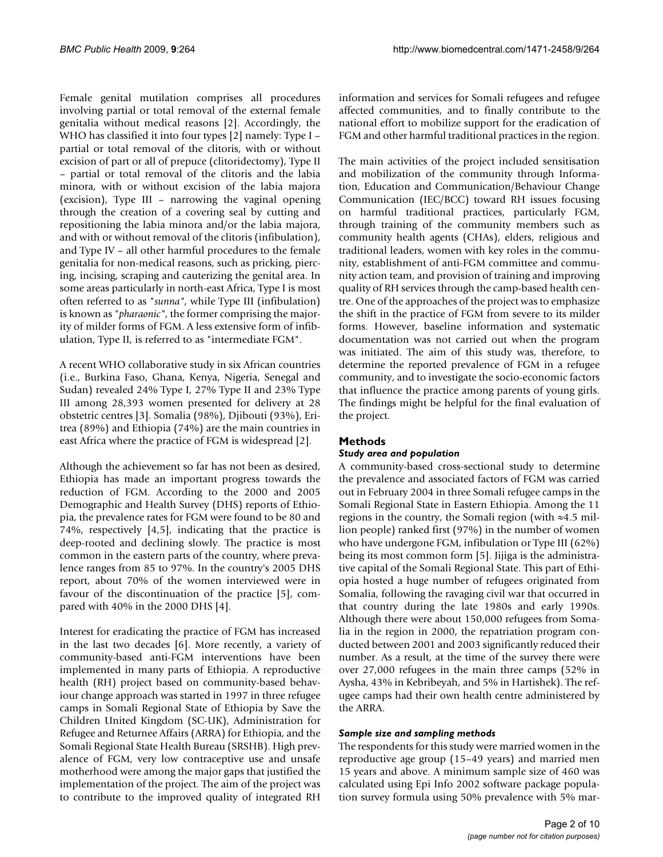Female genital mutilation comprises all procedures involving partial or total removal of the external female genitalia without medical reasons [2]. Accordingly, the WHO has classified it into four types [2] namely: Type I – partial or total removal of the clitoris, with or without excision of part or all of prepuce (clitoridectomy), Type II – partial or total removal of the clitoris and the labia minora, with or without excision of the labia majora (excision), Type III – narrowing the vaginal opening through the creation of a covering seal by cutting and repositioning the labia minora and/or the labia majora, and with or without removal of the clitoris (infibulation), and Type IV – all other harmful procedures to the female genitalia for non-medical reasons, such as pricking, piercing, incising, scraping and cauterizing the genital area. In some areas particularly in north-east Africa, Type I is most often referred to as "*sunna"*, while Type III (infibulation) is known as "*pharaonic"*, the former comprising the majority of milder forms of FGM. A less extensive form of infibulation, Type II, is referred to as "intermediate FGM".

A recent WHO collaborative study in six African countries (i.e., Burkina Faso, Ghana, Kenya, Nigeria, Senegal and Sudan) revealed 24% Type I, 27% Type II and 23% Type III among 28,393 women presented for delivery at 28 obstetric centres [3]. Somalia (98%), Djibouti (93%), Eritrea (89%) and Ethiopia (74%) are the main countries in east Africa where the practice of FGM is widespread [2].

Although the achievement so far has not been as desired, Ethiopia has made an important progress towards the reduction of FGM. According to the 2000 and 2005 Demographic and Health Survey (DHS) reports of Ethiopia, the prevalence rates for FGM were found to be 80 and 74%, respectively [4,5], indicating that the practice is deep-rooted and declining slowly. The practice is most common in the eastern parts of the country, where prevalence ranges from 85 to 97%. In the country's 2005 DHS report, about 70% of the women interviewed were in favour of the discontinuation of the practice [5], compared with 40% in the 2000 DHS [4].

Interest for eradicating the practice of FGM has increased in the last two decades [6]. More recently, a variety of community-based anti-FGM interventions have been implemented in many parts of Ethiopia. A reproductive health (RH) project based on community-based behaviour change approach was started in 1997 in three refugee camps in Somali Regional State of Ethiopia by Save the Children United Kingdom (SC-UK), Administration for Refugee and Returnee Affairs (ARRA) for Ethiopia, and the Somali Regional State Health Bureau (SRSHB). High prevalence of FGM, very low contraceptive use and unsafe motherhood were among the major gaps that justified the implementation of the project. The aim of the project was to contribute to the improved quality of integrated RH

information and services for Somali refugees and refugee affected communities, and to finally contribute to the national effort to mobilize support for the eradication of FGM and other harmful traditional practices in the region.

The main activities of the project included sensitisation and mobilization of the community through Information, Education and Communication/Behaviour Change Communication (IEC/BCC) toward RH issues focusing on harmful traditional practices, particularly FGM, through training of the community members such as community health agents (CHAs), elders, religious and traditional leaders, women with key roles in the community, establishment of anti-FGM committee and community action team, and provision of training and improving quality of RH services through the camp-based health centre. One of the approaches of the project was to emphasize the shift in the practice of FGM from severe to its milder forms. However, baseline information and systematic documentation was not carried out when the program was initiated. The aim of this study was, therefore, to determine the reported prevalence of FGM in a refugee community, and to investigate the socio-economic factors that influence the practice among parents of young girls. The findings might be helpful for the final evaluation of the project.

# **Methods**

# *Study area and population*

A community-based cross-sectional study to determine the prevalence and associated factors of FGM was carried out in February 2004 in three Somali refugee camps in the Somali Regional State in Eastern Ethiopia. Among the 11 regions in the country, the Somali region (with ≈4.5 million people) ranked first (97%) in the number of women who have undergone FGM, infibulation or Type III (62%) being its most common form [5]. Jijiga is the administrative capital of the Somali Regional State. This part of Ethiopia hosted a huge number of refugees originated from Somalia, following the ravaging civil war that occurred in that country during the late 1980s and early 1990s. Although there were about 150,000 refugees from Somalia in the region in 2000, the repatriation program conducted between 2001 and 2003 significantly reduced their number. As a result, at the time of the survey there were over 27,000 refugees in the main three camps (52% in Aysha, 43% in Kebribeyah, and 5% in Hartishek). The refugee camps had their own health centre administered by the ARRA.

# *Sample size and sampling methods*

The respondents for this study were married women in the reproductive age group (15–49 years) and married men 15 years and above. A minimum sample size of 460 was calculated using Epi Info 2002 software package population survey formula using 50% prevalence with 5% mar-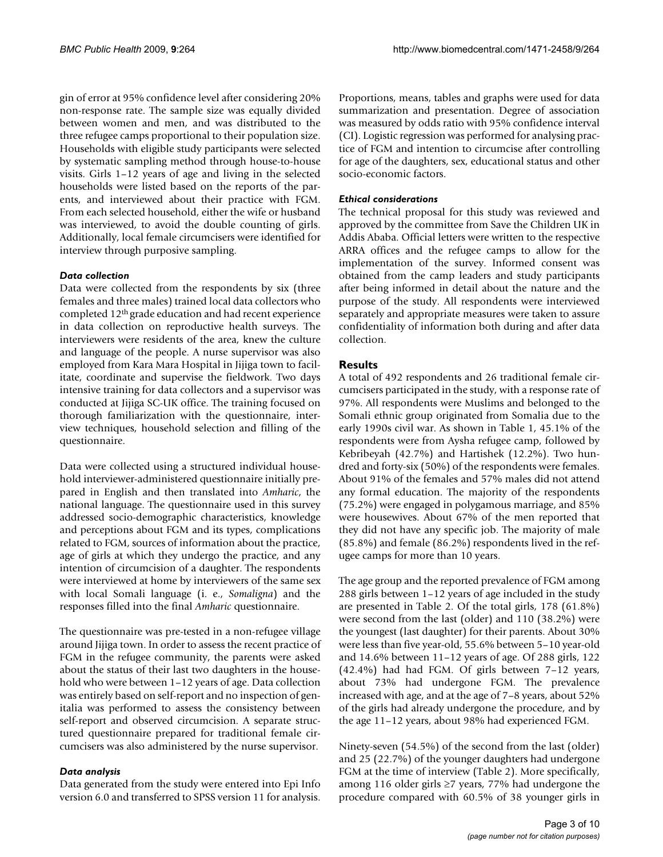gin of error at 95% confidence level after considering 20% non-response rate. The sample size was equally divided between women and men, and was distributed to the three refugee camps proportional to their population size. Households with eligible study participants were selected by systematic sampling method through house-to-house visits. Girls 1–12 years of age and living in the selected households were listed based on the reports of the parents, and interviewed about their practice with FGM. From each selected household, either the wife or husband was interviewed, to avoid the double counting of girls. Additionally, local female circumcisers were identified for interview through purposive sampling.

#### *Data collection*

Data were collected from the respondents by six (three females and three males) trained local data collectors who completed 12th grade education and had recent experience in data collection on reproductive health surveys. The interviewers were residents of the area, knew the culture and language of the people. A nurse supervisor was also employed from Kara Mara Hospital in Jijiga town to facilitate, coordinate and supervise the fieldwork. Two days intensive training for data collectors and a supervisor was conducted at Jijiga SC-UK office. The training focused on thorough familiarization with the questionnaire, interview techniques, household selection and filling of the questionnaire.

Data were collected using a structured individual household interviewer-administered questionnaire initially prepared in English and then translated into *Amharic*, the national language. The questionnaire used in this survey addressed socio-demographic characteristics, knowledge and perceptions about FGM and its types, complications related to FGM, sources of information about the practice, age of girls at which they undergo the practice, and any intention of circumcision of a daughter. The respondents were interviewed at home by interviewers of the same sex with local Somali language (i. e., *Somaligna*) and the responses filled into the final *Amharic* questionnaire.

The questionnaire was pre-tested in a non-refugee village around Jijiga town. In order to assess the recent practice of FGM in the refugee community, the parents were asked about the status of their last two daughters in the household who were between 1–12 years of age. Data collection was entirely based on self-report and no inspection of genitalia was performed to assess the consistency between self-report and observed circumcision. A separate structured questionnaire prepared for traditional female circumcisers was also administered by the nurse supervisor.

#### *Data analysis*

Data generated from the study were entered into Epi Info version 6.0 and transferred to SPSS version 11 for analysis.

Proportions, means, tables and graphs were used for data summarization and presentation. Degree of association was measured by odds ratio with 95% confidence interval (CI). Logistic regression was performed for analysing practice of FGM and intention to circumcise after controlling for age of the daughters, sex, educational status and other socio-economic factors.

#### *Ethical considerations*

The technical proposal for this study was reviewed and approved by the committee from Save the Children UK in Addis Ababa. Official letters were written to the respective ARRA offices and the refugee camps to allow for the implementation of the survey. Informed consent was obtained from the camp leaders and study participants after being informed in detail about the nature and the purpose of the study. All respondents were interviewed separately and appropriate measures were taken to assure confidentiality of information both during and after data collection.

## **Results**

A total of 492 respondents and 26 traditional female circumcisers participated in the study, with a response rate of 97%. All respondents were Muslims and belonged to the Somali ethnic group originated from Somalia due to the early 1990s civil war. As shown in Table 1, 45.1% of the respondents were from Aysha refugee camp, followed by Kebribeyah (42.7%) and Hartishek (12.2%). Two hundred and forty-six (50%) of the respondents were females. About 91% of the females and 57% males did not attend any formal education. The majority of the respondents (75.2%) were engaged in polygamous marriage, and 85% were housewives. About 67% of the men reported that they did not have any specific job. The majority of male (85.8%) and female (86.2%) respondents lived in the refugee camps for more than 10 years.

The age group and the reported prevalence of FGM among 288 girls between 1–12 years of age included in the study are presented in Table 2. Of the total girls, 178 (61.8%) were second from the last (older) and 110 (38.2%) were the youngest (last daughter) for their parents. About 30% were less than five year-old, 55.6% between 5–10 year-old and 14.6% between 11–12 years of age. Of 288 girls, 122 (42.4%) had had FGM. Of girls between 7–12 years, about 73% had undergone FGM. The prevalence increased with age, and at the age of 7–8 years, about 52% of the girls had already undergone the procedure, and by the age 11–12 years, about 98% had experienced FGM.

Ninety-seven (54.5%) of the second from the last (older) and 25 (22.7%) of the younger daughters had undergone FGM at the time of interview (Table 2). More specifically, among 116 older girls ≥7 years, 77% had undergone the procedure compared with 60.5% of 38 younger girls in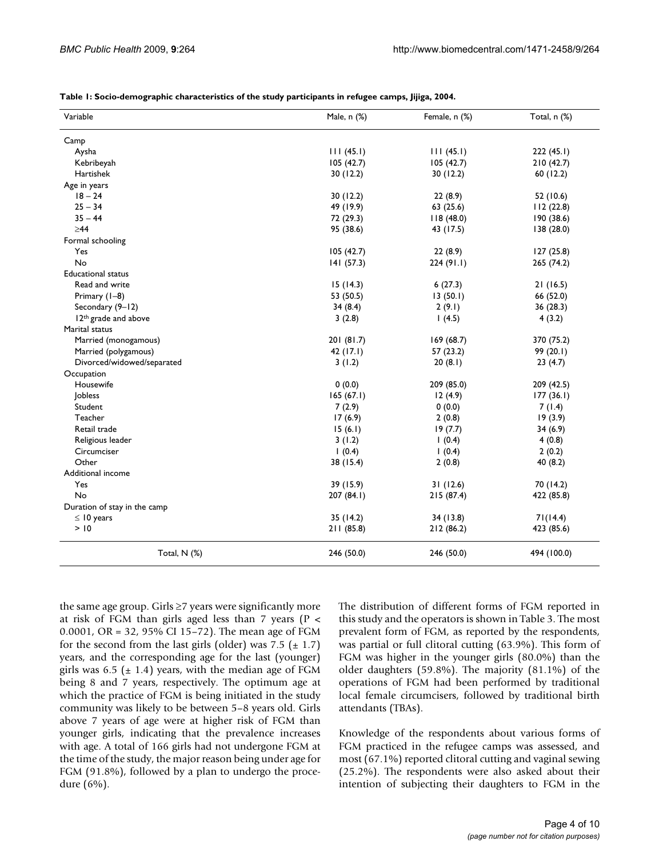| Variable                     | Male, n (%) | Female, n (%) | Total, n (%) |
|------------------------------|-------------|---------------|--------------|
| Camp                         |             |               |              |
| Aysha                        | 111(45.1)   | 111(45.1)     | 222(45.1)    |
| Kebribeyah                   | 105(42.7)   | 105(42.7)     | 210(42.7)    |
| Hartishek                    | 30(12.2)    | 30(12.2)      | 60 (12.2)    |
| Age in years                 |             |               |              |
| $18 - 24$                    | 30(12.2)    | 22(8.9)       | 52 (10.6)    |
| $25 - 34$                    | 49 (19.9)   | 63(25.6)      | 112(22.8)    |
| $35 - 44$                    | 72 (29.3)   | 118(48.0)     | 190 (38.6)   |
| $\geq$ 44                    | 95 (38.6)   | 43 (17.5)     | 138 (28.0)   |
| Formal schooling             |             |               |              |
| Yes                          | 105(42.7)   | 22(8.9)       | 127(25.8)    |
| No                           | 141(57.3)   | 224(91.1)     | 265 (74.2)   |
| <b>Educational status</b>    |             |               |              |
| Read and write               | 15(14.3)    | 6(27.3)       | 21(16.5)     |
| Primary (1-8)                | 53 (50.5)   | 13(50.1)      | 66 (52.0)    |
| Secondary (9-12)             | 34(8.4)     | 2(9.1)        | 36(28.3)     |
| 12th grade and above         | 3(2.8)      | 1(4.5)        | 4(3.2)       |
| Marital status               |             |               |              |
| Married (monogamous)         | 201 (81.7)  | 169(68.7)     | 370 (75.2)   |
| Married (polygamous)         | 42(17.1)    | 57 (23.2)     | 99 (20.1)    |
| Divorced/widowed/separated   | 3(1.2)      | 20(8.1)       | 23(4.7)      |
| Occupation                   |             |               |              |
| Housewife                    | 0(0.0)      | 209 (85.0)    | 209 (42.5)   |
| <b>Jobless</b>               | 165(67.1)   | 12(4.9)       | 177(36.1)    |
| Student                      | 7(2.9)      | 0(0.0)        | 7(1.4)       |
| Teacher                      | 17(6.9)     | 2(0.8)        | 19(3.9)      |
| Retail trade                 | 15(6.1)     | 19(7.7)       | 34 (6.9)     |
| Religious leader             | 3(1.2)      | 1(0.4)        | 4(0.8)       |
| Circumciser                  | 1(0.4)      | 1(0.4)        | 2(0.2)       |
| Other                        | 38 (15.4)   | 2(0.8)        | 40(8.2)      |
| Additional income            |             |               |              |
| Yes                          | 39 (15.9)   | 31(12.6)      | 70 (14.2)    |
| No                           | 207 (84.1)  | 215(87.4)     | 422 (85.8)   |
| Duration of stay in the camp |             |               |              |
| $\leq 10$ years              | 35(14.2)    | 34 (13.8)     | 71(14.4)     |
| >10                          | 211 (85.8)  | 212 (86.2)    | 423 (85.6)   |
| Total, N (%)                 | 246 (50.0)  | 246 (50.0)    | 494 (100.0)  |

**Table 1: Socio-demographic characteristics of the study participants in refugee camps, Jijiga, 2004.**

the same age group. Girls  $\geq$ 7 years were significantly more at risk of FGM than girls aged less than  $7$  years (P < 0.0001, OR = 32, 95% CI 15–72). The mean age of FGM for the second from the last girls (older) was 7.5 ( $\pm$  1.7) years, and the corresponding age for the last (younger) girls was 6.5 ( $\pm$  1.4) years, with the median age of FGM being 8 and 7 years, respectively. The optimum age at which the practice of FGM is being initiated in the study community was likely to be between 5–8 years old. Girls above 7 years of age were at higher risk of FGM than younger girls, indicating that the prevalence increases with age. A total of 166 girls had not undergone FGM at the time of the study, the major reason being under age for FGM (91.8%), followed by a plan to undergo the procedure (6%).

The distribution of different forms of FGM reported in this study and the operators is shown in Table 3. The most prevalent form of FGM, as reported by the respondents, was partial or full clitoral cutting (63.9%). This form of FGM was higher in the younger girls (80.0%) than the older daughters (59.8%). The majority (81.1%) of the operations of FGM had been performed by traditional local female circumcisers, followed by traditional birth attendants (TBAs).

Knowledge of the respondents about various forms of FGM practiced in the refugee camps was assessed, and most (67.1%) reported clitoral cutting and vaginal sewing (25.2%). The respondents were also asked about their intention of subjecting their daughters to FGM in the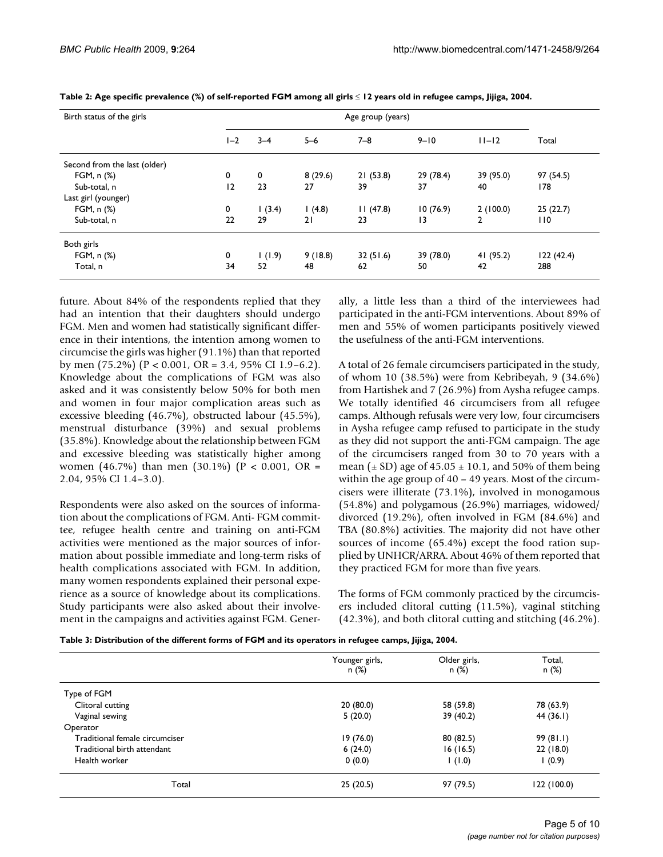| Birth status of the girls    |       | Age group (years) |         |          |           |                |           |
|------------------------------|-------|-------------------|---------|----------|-----------|----------------|-----------|
|                              | $I-2$ | $3 - 4$           | $5 - 6$ | $7 - 8$  | $9 - 10$  | $11-12$        | Total     |
| Second from the last (older) |       |                   |         |          |           |                |           |
| FGM, n (%)                   | 0     | 0                 | 8(29.6) | 21(53.8) | 29 (78.4) | 39 (95.0)      | 97 (54.5) |
| Sub-total, n                 | 2     | 23                | 27      | 39       | 37        | 40             | 178       |
| Last girl (younger)          |       |                   |         |          |           |                |           |
| FGM, n (%)                   | 0     | 1(3.4)            | 1(4.8)  | 11(47.8) | 10(76.9)  | 2(100.0)       | 25(22.7)  |
| Sub-total, n                 | 22    | 29                | 21      | 23       | 13        | $\overline{2}$ | 110       |
| Both girls                   |       |                   |         |          |           |                |           |
| FGM, n (%)                   | 0     | (1.9)             | 9(18.8) | 32(51.6) | 39 (78.0) | 41 (95.2)      | 122(42.4) |
| Total, n                     | 34    | 52                | 48      | 62       | 50        | 42             | 288       |

|  | Table 2: Age specific prevalence (%) of self-reported FGM among all girls ≤ l 2 years old in refugee camps, Jijiga, 2004. |
|--|---------------------------------------------------------------------------------------------------------------------------|
|  |                                                                                                                           |

future. About 84% of the respondents replied that they had an intention that their daughters should undergo FGM. Men and women had statistically significant difference in their intentions, the intention among women to circumcise the girls was higher (91.1%) than that reported by men (75.2%) (P < 0.001, OR = 3.4, 95% CI 1.9–6.2). Knowledge about the complications of FGM was also asked and it was consistently below 50% for both men and women in four major complication areas such as excessive bleeding (46.7%), obstructed labour (45.5%), menstrual disturbance (39%) and sexual problems (35.8%). Knowledge about the relationship between FGM and excessive bleeding was statistically higher among women (46.7%) than men (30.1%) (P < 0.001, OR = 2.04, 95% CI 1.4–3.0).

Respondents were also asked on the sources of information about the complications of FGM. Anti- FGM committee, refugee health centre and training on anti-FGM activities were mentioned as the major sources of information about possible immediate and long-term risks of health complications associated with FGM. In addition, many women respondents explained their personal experience as a source of knowledge about its complications. Study participants were also asked about their involvement in the campaigns and activities against FGM. Generally, a little less than a third of the interviewees had participated in the anti-FGM interventions. About 89% of men and 55% of women participants positively viewed the usefulness of the anti-FGM interventions.

A total of 26 female circumcisers participated in the study, of whom 10 (38.5%) were from Kebribeyah, 9 (34.6%) from Hartishek and 7 (26.9%) from Aysha refugee camps. We totally identified 46 circumcisers from all refugee camps. Although refusals were very low, four circumcisers in Aysha refugee camp refused to participate in the study as they did not support the anti-FGM campaign. The age of the circumcisers ranged from 30 to 70 years with a mean ( $\pm$  SD) age of 45.05  $\pm$  10.1, and 50% of them being within the age group of 40 – 49 years. Most of the circumcisers were illiterate (73.1%), involved in monogamous (54.8%) and polygamous (26.9%) marriages, widowed/ divorced (19.2%), often involved in FGM (84.6%) and TBA (80.8%) activities. The majority did not have other sources of income (65.4%) except the food ration supplied by UNHCR/ARRA. About 46% of them reported that they practiced FGM for more than five years.

The forms of FGM commonly practiced by the circumcisers included clitoral cutting (11.5%), vaginal stitching (42.3%), and both clitoral cutting and stitching (46.2%).

|                                | Younger girls,<br>n (%) | Older girls,<br>n(%) | Total,<br>n (%) |
|--------------------------------|-------------------------|----------------------|-----------------|
| Type of FGM                    |                         |                      |                 |
| Clitoral cutting               | 20(80.0)                | 58 (59.8)            | 78 (63.9)       |
| Vaginal sewing                 | 5(20.0)                 | 39 (40.2)            | 44 (36.1)       |
| Operator                       |                         |                      |                 |
| Traditional female circumciser | 19(76.0)                | 80 (82.5)            | 99(81.1)        |
| Traditional birth attendant    | 6(24.0)                 | 16(16.5)             | 22(18.0)        |
| Health worker                  | 0(0.0)                  | $(0.1)$              | 1(0.9)          |
| Total                          | 25(20.5)                | 97 (79.5)            | 122(100.0)      |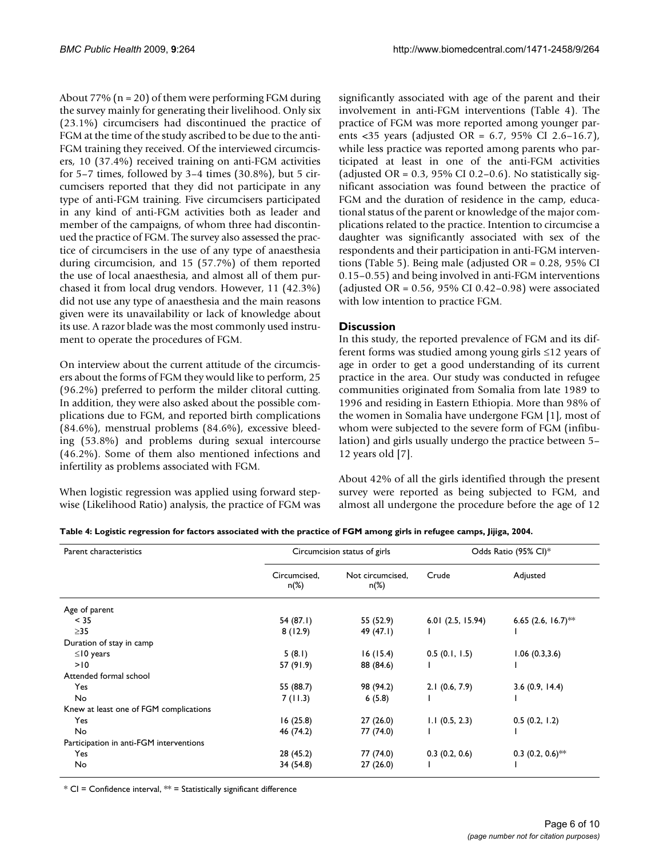About 77% ( $n = 20$ ) of them were performing FGM during the survey mainly for generating their livelihood. Only six (23.1%) circumcisers had discontinued the practice of FGM at the time of the study ascribed to be due to the anti-FGM training they received. Of the interviewed circumcisers, 10 (37.4%) received training on anti-FGM activities for 5–7 times, followed by 3–4 times (30.8%), but 5 circumcisers reported that they did not participate in any type of anti-FGM training. Five circumcisers participated in any kind of anti-FGM activities both as leader and member of the campaigns, of whom three had discontinued the practice of FGM. The survey also assessed the practice of circumcisers in the use of any type of anaesthesia during circumcision, and 15 (57.7%) of them reported the use of local anaesthesia, and almost all of them purchased it from local drug vendors. However, 11 (42.3%) did not use any type of anaesthesia and the main reasons given were its unavailability or lack of knowledge about its use. A razor blade was the most commonly used instrument to operate the procedures of FGM.

On interview about the current attitude of the circumcisers about the forms of FGM they would like to perform, 25 (96.2%) preferred to perform the milder clitoral cutting. In addition, they were also asked about the possible complications due to FGM, and reported birth complications (84.6%), menstrual problems (84.6%), excessive bleeding (53.8%) and problems during sexual intercourse (46.2%). Some of them also mentioned infections and infertility as problems associated with FGM.

When logistic regression was applied using forward stepwise (Likelihood Ratio) analysis, the practice of FGM was significantly associated with age of the parent and their involvement in anti-FGM interventions (Table 4). The practice of FGM was more reported among younger parents <35 years (adjusted OR = 6.7, 95% CI 2.6–16.7), while less practice was reported among parents who participated at least in one of the anti-FGM activities (adjusted OR =  $0.3$ ,  $95\%$  CI 0.2-0.6). No statistically significant association was found between the practice of FGM and the duration of residence in the camp, educational status of the parent or knowledge of the major complications related to the practice. Intention to circumcise a daughter was significantly associated with sex of the respondents and their participation in anti-FGM interventions (Table 5). Being male (adjusted OR = 0.28, 95% CI 0.15–0.55) and being involved in anti-FGM interventions (adjusted OR = 0.56, 95% CI 0.42–0.98) were associated with low intention to practice FGM.

## **Discussion**

In this study, the reported prevalence of FGM and its different forms was studied among young girls ≤12 years of age in order to get a good understanding of its current practice in the area. Our study was conducted in refugee communities originated from Somalia from late 1989 to 1996 and residing in Eastern Ethiopia. More than 98% of the women in Somalia have undergone FGM [1], most of whom were subjected to the severe form of FGM (infibulation) and girls usually undergo the practice between 5– 12 years old [7].

About 42% of all the girls identified through the present survey were reported as being subjected to FGM, and almost all undergone the procedure before the age of 12

| Table 4: Logistic regression for factors associated with the practice of FGM among girls in refugee camps, Jijiga, 2004. |  |  |
|--------------------------------------------------------------------------------------------------------------------------|--|--|
|--------------------------------------------------------------------------------------------------------------------------|--|--|

| Parent characteristics                  |                         | Circumcision status of girls | Odds Ratio (95% CI)* |                                |
|-----------------------------------------|-------------------------|------------------------------|----------------------|--------------------------------|
|                                         | Circumcised,<br>$n(\%)$ | Not circumcised.<br>$n(\%)$  | Crude                | Adjusted                       |
| Age of parent                           |                         |                              |                      |                                |
| < 35                                    | 54 (87.1)               | 55 (52.9)                    | 6.01(2.5, 15.94)     | 6.65 $(2.6, 16.7)$ **          |
| $\geq$ 35                               | 8(12.9)                 | 49 (47.1)                    |                      |                                |
| Duration of stay in camp                |                         |                              |                      |                                |
| $\leq$ 10 years                         | 5(8.1)                  | 16(15.4)                     | 0.5(0.1, 1.5)        | 1.06(0.3,3.6)                  |
| >10                                     | 57 (91.9)               | 88 (84.6)                    |                      |                                |
| Attended formal school                  |                         |                              |                      |                                |
| Yes                                     | 55 (88.7)               | 98 (94.2)                    | 2.1(0.6, 7.9)        | 3.6(0.9, 14.4)                 |
| No                                      | 7(11.3)                 | 6(5.8)                       |                      |                                |
| Knew at least one of FGM complications  |                         |                              |                      |                                |
| Yes                                     | 16(25.8)                | 27(26.0)                     | $1.1$ (0.5, 2.3)     | 0.5(0.2, 1.2)                  |
| No                                      | 46 (74.2)               | 77 (74.0)                    |                      |                                |
| Participation in anti-FGM interventions |                         |                              |                      |                                |
| Yes                                     | 28 (45.2)               | 77 (74.0)                    | 0.3(0.2, 0.6)        | $0.3$ (0.2, 0.6) <sup>**</sup> |
| No                                      | 34 (54.8)               | 27(26.0)                     |                      |                                |

 $*$  CI = Confidence interval,  $**$  = Statistically significant difference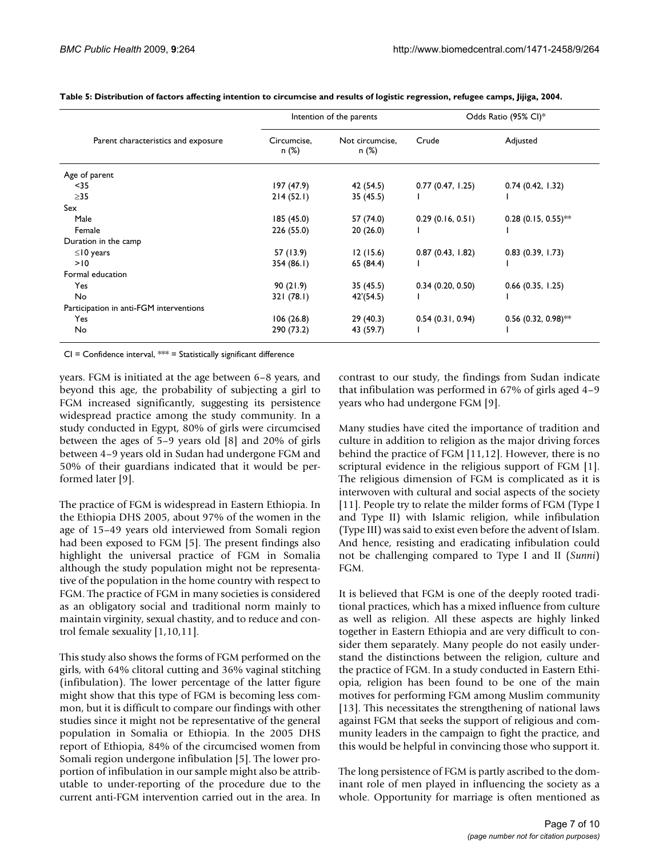|                                         |                      | Intention of the parents |                  | Odds Ratio (95% CI)*  |  |
|-----------------------------------------|----------------------|--------------------------|------------------|-----------------------|--|
| Parent characteristics and exposure     | Circumcise,<br>n (%) | Not circumcise,<br>n(%)  | Crude            | Adjusted              |  |
| Age of parent                           |                      |                          |                  |                       |  |
| $35$                                    | 197(47.9)            | 42 (54.5)                | 0.77(0.47, 1.25) | 0.74(0.42, 1.32)      |  |
| $\geq$ 35                               | 214(52.1)            | 35 (45.5)                |                  |                       |  |
| Sex                                     |                      |                          |                  |                       |  |
| Male                                    | 185(45.0)            | 57 (74.0)                | 0.29(0.16, 0.51) | $0.28$ (0.15, 0.55)** |  |
| Female                                  | 226 (55.0)           | 20(26.0)                 |                  |                       |  |
| Duration in the camp                    |                      |                          |                  |                       |  |
| $\leq$ 10 years                         | 57 (13.9)            | 12(15.6)                 | 0.87(0.43, 1.82) | 0.83(0.39, 1.73)      |  |
| >10                                     | 354(86.1)            | 65 (84.4)                |                  |                       |  |
| Formal education                        |                      |                          |                  |                       |  |
| Yes                                     | 90(21.9)             | 35(45.5)                 | 0.34(0.20, 0.50) | $0.66$ (0.35, 1.25)   |  |
| No                                      | 321 (78.1)           | 42'(54.5)                |                  |                       |  |
| Participation in anti-FGM interventions |                      |                          |                  |                       |  |
| Yes                                     | 106(26.8)            | 29(40.3)                 | 0.54(0.31, 0.94) | $0.56$ (0.32, 0.98)** |  |
| No                                      | 290 (73.2)           | 43 (59.7)                |                  |                       |  |

**Table 5: Distribution of factors affecting intention to circumcise and results of logistic regression, refugee camps, Jijiga, 2004.**

 $CI =$  Confidence interval,  $** =$  Statistically significant difference

years. FGM is initiated at the age between 6–8 years, and beyond this age, the probability of subjecting a girl to FGM increased significantly, suggesting its persistence widespread practice among the study community. In a study conducted in Egypt, 80% of girls were circumcised between the ages of 5–9 years old [8] and 20% of girls between 4–9 years old in Sudan had undergone FGM and 50% of their guardians indicated that it would be performed later [9].

The practice of FGM is widespread in Eastern Ethiopia. In the Ethiopia DHS 2005, about 97% of the women in the age of 15–49 years old interviewed from Somali region had been exposed to FGM [5]. The present findings also highlight the universal practice of FGM in Somalia although the study population might not be representative of the population in the home country with respect to FGM. The practice of FGM in many societies is considered as an obligatory social and traditional norm mainly to maintain virginity, sexual chastity, and to reduce and control female sexuality [1,10,11].

This study also shows the forms of FGM performed on the girls, with 64% clitoral cutting and 36% vaginal stitching (infibulation). The lower percentage of the latter figure might show that this type of FGM is becoming less common, but it is difficult to compare our findings with other studies since it might not be representative of the general population in Somalia or Ethiopia. In the 2005 DHS report of Ethiopia, 84% of the circumcised women from Somali region undergone infibulation [5]. The lower proportion of infibulation in our sample might also be attributable to under-reporting of the procedure due to the current anti-FGM intervention carried out in the area. In

contrast to our study, the findings from Sudan indicate that infibulation was performed in 67% of girls aged 4–9 years who had undergone FGM [9].

Many studies have cited the importance of tradition and culture in addition to religion as the major driving forces behind the practice of FGM [11,12]. However, there is no scriptural evidence in the religious support of FGM [1]. The religious dimension of FGM is complicated as it is interwoven with cultural and social aspects of the society [11]. People try to relate the milder forms of FGM (Type I and Type II) with Islamic religion, while infibulation (Type III) was said to exist even before the advent of Islam. And hence, resisting and eradicating infibulation could not be challenging compared to Type I and II (*Sunni*) FGM.

It is believed that FGM is one of the deeply rooted traditional practices, which has a mixed influence from culture as well as religion. All these aspects are highly linked together in Eastern Ethiopia and are very difficult to consider them separately. Many people do not easily understand the distinctions between the religion, culture and the practice of FGM. In a study conducted in Eastern Ethiopia, religion has been found to be one of the main motives for performing FGM among Muslim community [13]. This necessitates the strengthening of national laws against FGM that seeks the support of religious and community leaders in the campaign to fight the practice, and this would be helpful in convincing those who support it.

The long persistence of FGM is partly ascribed to the dominant role of men played in influencing the society as a whole. Opportunity for marriage is often mentioned as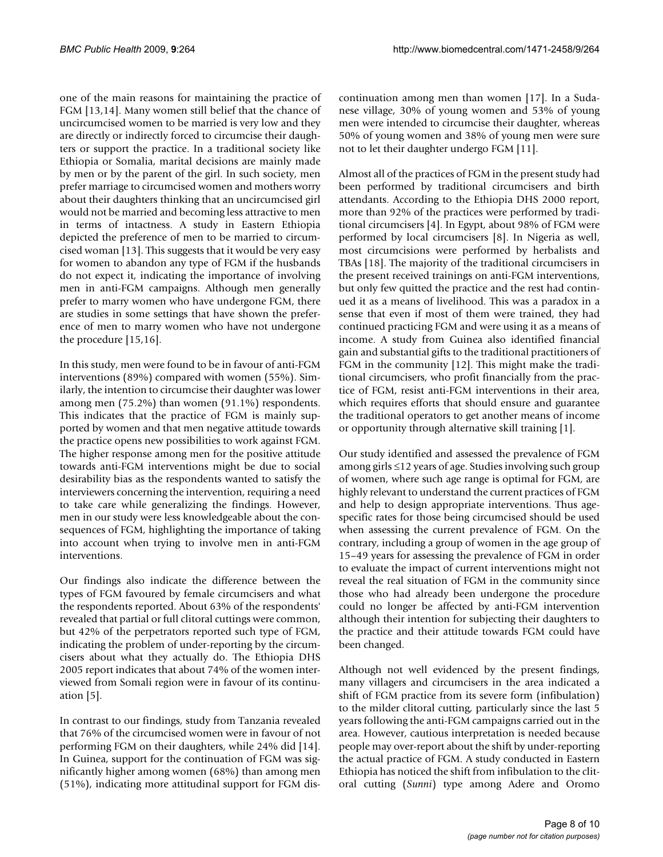one of the main reasons for maintaining the practice of FGM [13,14]. Many women still belief that the chance of uncircumcised women to be married is very low and they are directly or indirectly forced to circumcise their daughters or support the practice. In a traditional society like Ethiopia or Somalia, marital decisions are mainly made by men or by the parent of the girl. In such society, men prefer marriage to circumcised women and mothers worry about their daughters thinking that an uncircumcised girl would not be married and becoming less attractive to men in terms of intactness. A study in Eastern Ethiopia depicted the preference of men to be married to circumcised woman [13]. This suggests that it would be very easy for women to abandon any type of FGM if the husbands do not expect it, indicating the importance of involving men in anti-FGM campaigns. Although men generally prefer to marry women who have undergone FGM, there are studies in some settings that have shown the preference of men to marry women who have not undergone the procedure [15,16].

In this study, men were found to be in favour of anti-FGM interventions (89%) compared with women (55%). Similarly, the intention to circumcise their daughter was lower among men (75.2%) than women (91.1%) respondents. This indicates that the practice of FGM is mainly supported by women and that men negative attitude towards the practice opens new possibilities to work against FGM. The higher response among men for the positive attitude towards anti-FGM interventions might be due to social desirability bias as the respondents wanted to satisfy the interviewers concerning the intervention, requiring a need to take care while generalizing the findings. However, men in our study were less knowledgeable about the consequences of FGM, highlighting the importance of taking into account when trying to involve men in anti-FGM interventions.

Our findings also indicate the difference between the types of FGM favoured by female circumcisers and what the respondents reported. About 63% of the respondents' revealed that partial or full clitoral cuttings were common, but 42% of the perpetrators reported such type of FGM, indicating the problem of under-reporting by the circumcisers about what they actually do. The Ethiopia DHS 2005 report indicates that about 74% of the women interviewed from Somali region were in favour of its continuation [5].

In contrast to our findings, study from Tanzania revealed that 76% of the circumcised women were in favour of not performing FGM on their daughters, while 24% did [14]. In Guinea, support for the continuation of FGM was significantly higher among women (68%) than among men (51%), indicating more attitudinal support for FGM discontinuation among men than women [17]. In a Sudanese village, 30% of young women and 53% of young men were intended to circumcise their daughter, whereas 50% of young women and 38% of young men were sure not to let their daughter undergo FGM [11].

Almost all of the practices of FGM in the present study had been performed by traditional circumcisers and birth attendants. According to the Ethiopia DHS 2000 report, more than 92% of the practices were performed by traditional circumcisers [4]. In Egypt, about 98% of FGM were performed by local circumcisers [8]. In Nigeria as well, most circumcisions were performed by herbalists and TBAs [18]. The majority of the traditional circumcisers in the present received trainings on anti-FGM interventions, but only few quitted the practice and the rest had continued it as a means of livelihood. This was a paradox in a sense that even if most of them were trained, they had continued practicing FGM and were using it as a means of income. A study from Guinea also identified financial gain and substantial gifts to the traditional practitioners of FGM in the community [12]. This might make the traditional circumcisers, who profit financially from the practice of FGM, resist anti-FGM interventions in their area, which requires efforts that should ensure and guarantee the traditional operators to get another means of income or opportunity through alternative skill training [1].

Our study identified and assessed the prevalence of FGM among girls ≤12 years of age. Studies involving such group of women, where such age range is optimal for FGM, are highly relevant to understand the current practices of FGM and help to design appropriate interventions. Thus agespecific rates for those being circumcised should be used when assessing the current prevalence of FGM. On the contrary, including a group of women in the age group of 15–49 years for assessing the prevalence of FGM in order to evaluate the impact of current interventions might not reveal the real situation of FGM in the community since those who had already been undergone the procedure could no longer be affected by anti-FGM intervention although their intention for subjecting their daughters to the practice and their attitude towards FGM could have been changed.

Although not well evidenced by the present findings, many villagers and circumcisers in the area indicated a shift of FGM practice from its severe form (infibulation) to the milder clitoral cutting, particularly since the last 5 years following the anti-FGM campaigns carried out in the area. However, cautious interpretation is needed because people may over-report about the shift by under-reporting the actual practice of FGM. A study conducted in Eastern Ethiopia has noticed the shift from infibulation to the clitoral cutting (*Sunni*) type among Adere and Oromo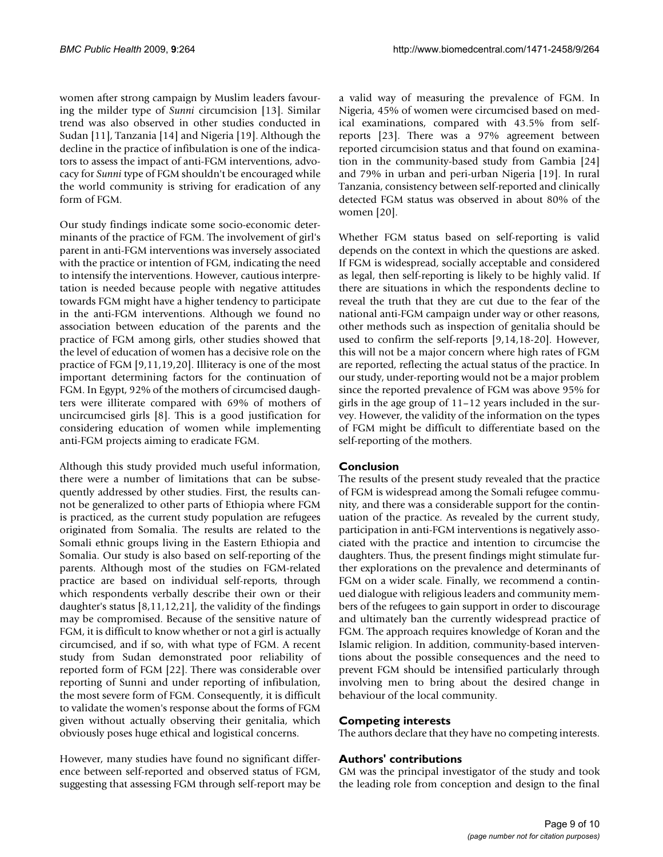women after strong campaign by Muslim leaders favouring the milder type of *Sunni* circumcision [13]. Similar trend was also observed in other studies conducted in Sudan [11], Tanzania [14] and Nigeria [19]. Although the decline in the practice of infibulation is one of the indicators to assess the impact of anti-FGM interventions, advocacy for *Sunni* type of FGM shouldn't be encouraged while the world community is striving for eradication of any form of FGM.

Our study findings indicate some socio-economic determinants of the practice of FGM. The involvement of girl's parent in anti-FGM interventions was inversely associated with the practice or intention of FGM, indicating the need to intensify the interventions. However, cautious interpretation is needed because people with negative attitudes towards FGM might have a higher tendency to participate in the anti-FGM interventions. Although we found no association between education of the parents and the practice of FGM among girls, other studies showed that the level of education of women has a decisive role on the practice of FGM [9,11,19,20]. Illiteracy is one of the most important determining factors for the continuation of FGM. In Egypt, 92% of the mothers of circumcised daughters were illiterate compared with 69% of mothers of uncircumcised girls [8]. This is a good justification for considering education of women while implementing anti-FGM projects aiming to eradicate FGM.

Although this study provided much useful information, there were a number of limitations that can be subsequently addressed by other studies. First, the results cannot be generalized to other parts of Ethiopia where FGM is practiced, as the current study population are refugees originated from Somalia. The results are related to the Somali ethnic groups living in the Eastern Ethiopia and Somalia. Our study is also based on self-reporting of the parents. Although most of the studies on FGM-related practice are based on individual self-reports, through which respondents verbally describe their own or their daughter's status  $[8,11,12,21]$ , the validity of the findings may be compromised. Because of the sensitive nature of FGM, it is difficult to know whether or not a girl is actually circumcised, and if so, with what type of FGM. A recent study from Sudan demonstrated poor reliability of reported form of FGM [22]. There was considerable over reporting of Sunni and under reporting of infibulation, the most severe form of FGM. Consequently, it is difficult to validate the women's response about the forms of FGM given without actually observing their genitalia, which obviously poses huge ethical and logistical concerns.

However, many studies have found no significant difference between self-reported and observed status of FGM, suggesting that assessing FGM through self-report may be a valid way of measuring the prevalence of FGM. In Nigeria, 45% of women were circumcised based on medical examinations, compared with 43.5% from selfreports [23]. There was a 97% agreement between reported circumcision status and that found on examination in the community-based study from Gambia [24] and 79% in urban and peri-urban Nigeria [19]. In rural Tanzania, consistency between self-reported and clinically detected FGM status was observed in about 80% of the women [20].

Whether FGM status based on self-reporting is valid depends on the context in which the questions are asked. If FGM is widespread, socially acceptable and considered as legal, then self-reporting is likely to be highly valid. If there are situations in which the respondents decline to reveal the truth that they are cut due to the fear of the national anti-FGM campaign under way or other reasons, other methods such as inspection of genitalia should be used to confirm the self-reports [9,14,18-20]. However, this will not be a major concern where high rates of FGM are reported, reflecting the actual status of the practice. In our study, under-reporting would not be a major problem since the reported prevalence of FGM was above 95% for girls in the age group of 11–12 years included in the survey. However, the validity of the information on the types of FGM might be difficult to differentiate based on the self-reporting of the mothers.

#### **Conclusion**

The results of the present study revealed that the practice of FGM is widespread among the Somali refugee community, and there was a considerable support for the continuation of the practice. As revealed by the current study, participation in anti-FGM interventions is negatively associated with the practice and intention to circumcise the daughters. Thus, the present findings might stimulate further explorations on the prevalence and determinants of FGM on a wider scale. Finally, we recommend a continued dialogue with religious leaders and community members of the refugees to gain support in order to discourage and ultimately ban the currently widespread practice of FGM. The approach requires knowledge of Koran and the Islamic religion. In addition, community-based interventions about the possible consequences and the need to prevent FGM should be intensified particularly through involving men to bring about the desired change in behaviour of the local community.

# **Competing interests**

The authors declare that they have no competing interests.

#### **Authors' contributions**

GM was the principal investigator of the study and took the leading role from conception and design to the final